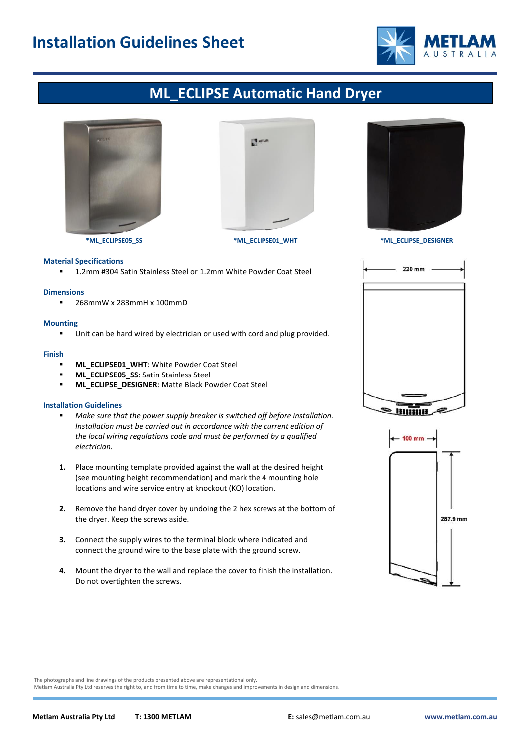## **Installation Guidelines Sheet**



## **ML\_ECLIPSE Automatic Hand Dryer**





## **Material Specifications**

■ 1.2mm #304 Satin Stainless Steel or 1.2mm White Powder Coat Steel

#### **Dimensions**

■ 268mmW x 283mmH x 100mmD

## **Mounting**

■ Unit can be hard wired by electrician or used with cord and plug provided.

#### **Finish**

- **ML\_ECLIPSE01\_WHT: White Powder Coat Steel**
- **ML\_ECLIPSE05\_SS: Satin Stainless Steel**
- **ML\_ECLIPSE\_DESIGNER**: Matte Black Powder Coat Steel

## **Installation Guidelines**

- Make sure that the power supply breaker is switched off before installation. *Installation must be carried out in accordance with the current edition of the local wiring regulations code and must be performed by a qualified electrician.*
- **1.** Place mounting template provided against the wall at the desired height (see mounting height recommendation) and mark the 4 mounting hole locations and wire service entry at knockout (KO) location.
- **2.** Remove the hand dryer cover by undoing the 2 hex screws at the bottom of the dryer. Keep the screws aside.
- **3.** Connect the supply wires to the terminal block where indicated and connect the ground wire to the base plate with the ground screw.
- **4.** Mount the dryer to the wall and replace the cover to finish the installation. Do not overtighten the screws.



**\*ML\_ECLIPSE05\_SS \*ML\_ECLIPSE01\_WHT \*ML\_ECLIPSE\_DESIGNER**





The photographs and line drawings of the products presented above are representational only.

Metlam Australia Pty Ltd reserves the right to, and from time to time, make changes and improvements in design and dimensions.